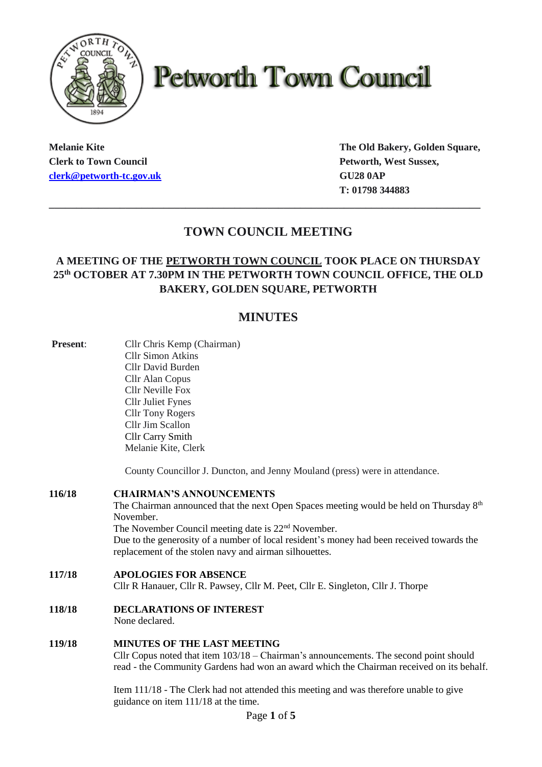

# **Petworth Town Council**

**Clerk to Town Council Petworth, West Sussex, [clerk@petworth-tc.gov.uk](mailto:clerk@petworth-tc.gov.uk) GU28 0AP** 

**Melanie Kite The Old Bakery, Golden Square, T: 01798 344883**

## **TOWN COUNCIL MEETING**

**\_\_\_\_\_\_\_\_\_\_\_\_\_\_\_\_\_\_\_\_\_\_\_\_\_\_\_\_\_\_\_\_\_\_\_\_\_\_\_\_\_\_\_\_\_\_\_\_\_\_\_\_\_\_\_\_\_\_\_\_\_\_\_\_\_\_\_\_\_\_\_\_\_\_\_\_\_\_\_**

### **A MEETING OF THE PETWORTH TOWN COUNCIL TOOK PLACE ON THURSDAY 25 th OCTOBER AT 7.30PM IN THE PETWORTH TOWN COUNCIL OFFICE, THE OLD BAKERY, GOLDEN SQUARE, PETWORTH**

## **MINUTES**

| Present: | Cllr Chris Kemp (Chairman)                                                                                                                          |
|----------|-----------------------------------------------------------------------------------------------------------------------------------------------------|
|          | <b>Cllr Simon Atkins</b>                                                                                                                            |
|          | Cllr David Burden                                                                                                                                   |
|          | Cllr Alan Copus                                                                                                                                     |
|          | <b>Cllr Neville Fox</b>                                                                                                                             |
|          | <b>Cllr Juliet Fynes</b>                                                                                                                            |
|          | <b>Cllr Tony Rogers</b>                                                                                                                             |
|          | Cllr Jim Scallon                                                                                                                                    |
|          | <b>Cllr Carry Smith</b>                                                                                                                             |
|          | Melanie Kite, Clerk                                                                                                                                 |
|          | County Councillor J. Duncton, and Jenny Mouland (press) were in attendance.                                                                         |
| 116/18   | <b>CHAIRMAN'S ANNOUNCEMENTS</b>                                                                                                                     |
|          | The Chairman announced that the next Open Spaces meeting would be held on Thursday 8 <sup>th</sup>                                                  |
|          | November.                                                                                                                                           |
|          | The November Council meeting date is 22 <sup>nd</sup> November.                                                                                     |
|          | Due to the generosity of a number of local resident's money had been received towards the<br>replacement of the stolen navy and airman silhouettes. |
| 117/18   | <b>APOLOGIES FOR ABSENCE</b>                                                                                                                        |
|          | Cllr R Hanauer, Cllr R. Pawsey, Cllr M. Peet, Cllr E. Singleton, Cllr J. Thorpe                                                                     |
| 118/18   | <b>DECLARATIONS OF INTEREST</b>                                                                                                                     |
|          | None declared.                                                                                                                                      |
| 119/18   | <b>MINUTES OF THE LAST MEETING</b>                                                                                                                  |
|          | Cllr Copus noted that item $103/18$ – Chairman's announcements. The second point should                                                             |
|          | read - the Community Gardens had won an award which the Chairman received on its behalf.                                                            |
|          | Item 111/18 - The Clerk had not attended this meeting and was therefore unable to give                                                              |
|          | guidance on item 111/18 at the time.                                                                                                                |
|          | Page 1 of 5                                                                                                                                         |
|          |                                                                                                                                                     |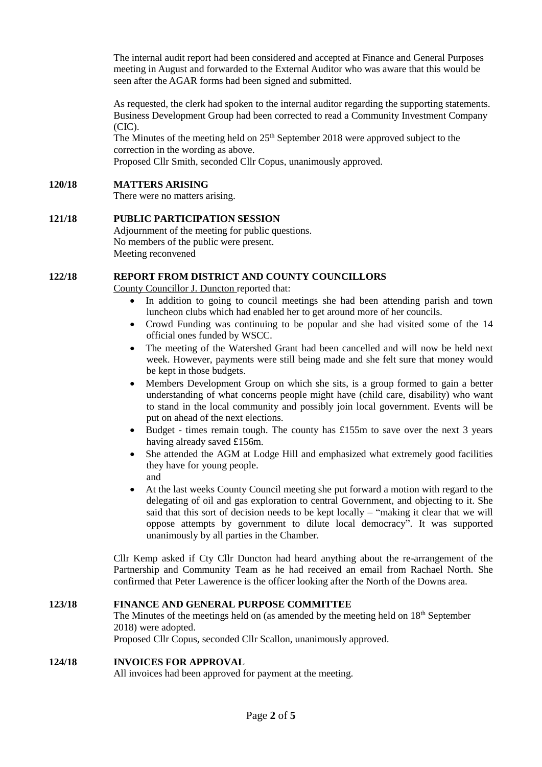The internal audit report had been considered and accepted at Finance and General Purposes meeting in August and forwarded to the External Auditor who was aware that this would be seen after the AGAR forms had been signed and submitted.

As requested, the clerk had spoken to the internal auditor regarding the supporting statements. Business Development Group had been corrected to read a Community Investment Company (CIC).

The Minutes of the meeting held on  $25<sup>th</sup>$  September 2018 were approved subject to the correction in the wording as above.

Proposed Cllr Smith, seconded Cllr Copus, unanimously approved.

#### **120/18 MATTERS ARISING**

There were no matters arising.

#### **121/18 PUBLIC PARTICIPATION SESSION** Adjournment of the meeting for public questions. No members of the public were present. Meeting reconvened

#### **122/18 REPORT FROM DISTRICT AND COUNTY COUNCILLORS**

County Councillor J. Duncton reported that:

- In addition to going to council meetings she had been attending parish and town luncheon clubs which had enabled her to get around more of her councils.
- Crowd Funding was continuing to be popular and she had visited some of the 14 official ones funded by WSCC.
- The meeting of the Watershed Grant had been cancelled and will now be held next week. However, payments were still being made and she felt sure that money would be kept in those budgets.
- Members Development Group on which she sits, is a group formed to gain a better understanding of what concerns people might have (child care, disability) who want to stand in the local community and possibly join local government. Events will be put on ahead of the next elections.
- Budget times remain tough. The county has  $£155m$  to save over the next 3 years having already saved £156m.
- She attended the AGM at Lodge Hill and emphasized what extremely good facilities they have for young people. and
- At the last weeks County Council meeting she put forward a motion with regard to the delegating of oil and gas exploration to central Government, and objecting to it. She said that this sort of decision needs to be kept locally – "making it clear that we will oppose attempts by government to dilute local democracy". It was supported unanimously by all parties in the Chamber.

Cllr Kemp asked if Cty Cllr Duncton had heard anything about the re-arrangement of the Partnership and Community Team as he had received an email from Rachael North. She confirmed that Peter Lawerence is the officer looking after the North of the Downs area.

#### **123/18 FINANCE AND GENERAL PURPOSE COMMITTEE** The Minutes of the meetings held on (as amended by the meeting held on 18th September 2018) were adopted.

Proposed Cllr Copus, seconded Cllr Scallon, unanimously approved.

#### **124/18 INVOICES FOR APPROVAL**

All invoices had been approved for payment at the meeting.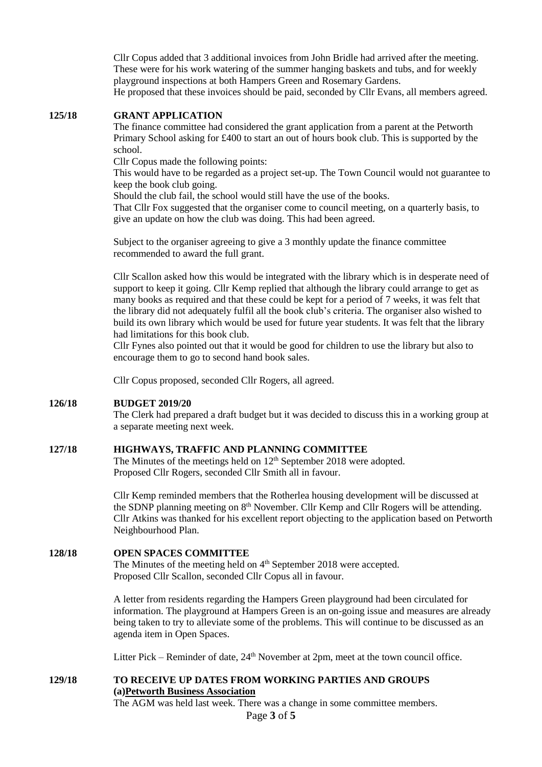Cllr Copus added that 3 additional invoices from John Bridle had arrived after the meeting. These were for his work watering of the summer hanging baskets and tubs, and for weekly playground inspections at both Hampers Green and Rosemary Gardens. He proposed that these invoices should be paid, seconded by Cllr Evans, all members agreed.

#### **125/18 GRANT APPLICATION**

The finance committee had considered the grant application from a parent at the Petworth Primary School asking for £400 to start an out of hours book club. This is supported by the school.

Cllr Copus made the following points:

This would have to be regarded as a project set-up. The Town Council would not guarantee to keep the book club going.

Should the club fail, the school would still have the use of the books.

That Cllr Fox suggested that the organiser come to council meeting, on a quarterly basis, to give an update on how the club was doing. This had been agreed.

Subject to the organiser agreeing to give a 3 monthly update the finance committee recommended to award the full grant.

Cllr Scallon asked how this would be integrated with the library which is in desperate need of support to keep it going. Cllr Kemp replied that although the library could arrange to get as many books as required and that these could be kept for a period of 7 weeks, it was felt that the library did not adequately fulfil all the book club's criteria. The organiser also wished to build its own library which would be used for future year students. It was felt that the library had limitations for this book club.

Cllr Fynes also pointed out that it would be good for children to use the library but also to encourage them to go to second hand book sales.

Cllr Copus proposed, seconded Cllr Rogers, all agreed.

#### **126/18 BUDGET 2019/20**

The Clerk had prepared a draft budget but it was decided to discuss this in a working group at a separate meeting next week.

#### **127/18 HIGHWAYS, TRAFFIC AND PLANNING COMMITTEE**

The Minutes of the meetings held on  $12<sup>th</sup>$  September 2018 were adopted. Proposed Cllr Rogers, seconded Cllr Smith all in favour.

Cllr Kemp reminded members that the Rotherlea housing development will be discussed at the SDNP planning meeting on 8th November. Cllr Kemp and Cllr Rogers will be attending. Cllr Atkins was thanked for his excellent report objecting to the application based on Petworth Neighbourhood Plan.

#### **128/18 OPEN SPACES COMMITTEE**

The Minutes of the meeting held on 4<sup>th</sup> September 2018 were accepted. Proposed Cllr Scallon, seconded Cllr Copus all in favour.

A letter from residents regarding the Hampers Green playground had been circulated for information. The playground at Hampers Green is an on-going issue and measures are already being taken to try to alleviate some of the problems. This will continue to be discussed as an agenda item in Open Spaces.

Litter Pick – Reminder of date,  $24<sup>th</sup>$  November at 2pm, meet at the town council office.

#### **129/18 TO RECEIVE UP DATES FROM WORKING PARTIES AND GROUPS (a)Petworth Business Association**

The AGM was held last week. There was a change in some committee members.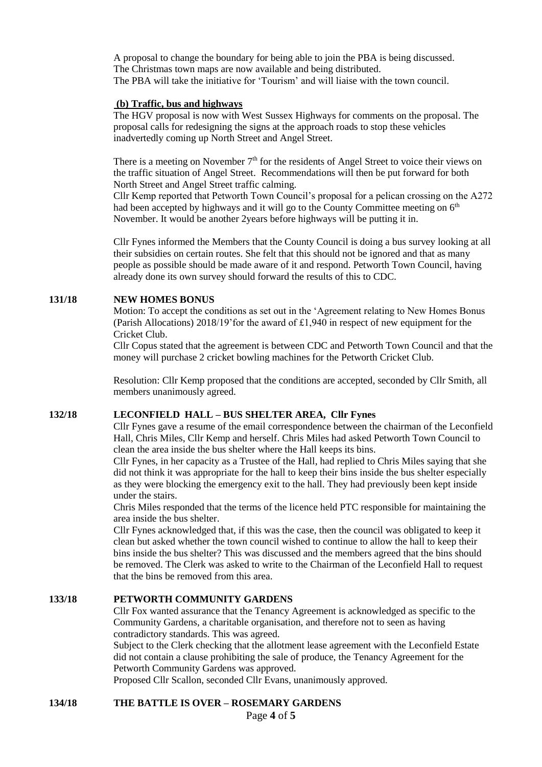A proposal to change the boundary for being able to join the PBA is being discussed. The Christmas town maps are now available and being distributed. The PBA will take the initiative for 'Tourism' and will liaise with the town council.

#### **(b) Traffic, bus and highways**

The HGV proposal is now with West Sussex Highways for comments on the proposal. The proposal calls for redesigning the signs at the approach roads to stop these vehicles inadvertedly coming up North Street and Angel Street.

There is a meeting on November  $7<sup>th</sup>$  for the residents of Angel Street to voice their views on the traffic situation of Angel Street. Recommendations will then be put forward for both North Street and Angel Street traffic calming.

Cllr Kemp reported that Petworth Town Council's proposal for a pelican crossing on the A272 had been accepted by highways and it will go to the County Committee meeting on 6<sup>th</sup> November. It would be another 2years before highways will be putting it in.

Cllr Fynes informed the Members that the County Council is doing a bus survey looking at all their subsidies on certain routes. She felt that this should not be ignored and that as many people as possible should be made aware of it and respond. Petworth Town Council, having already done its own survey should forward the results of this to CDC.

#### **131/18 NEW HOMES BONUS**

Motion: To accept the conditions as set out in the 'Agreement relating to New Homes Bonus (Parish Allocations) 2018/19'for the award of £1,940 in respect of new equipment for the Cricket Club.

Cllr Copus stated that the agreement is between CDC and Petworth Town Council and that the money will purchase 2 cricket bowling machines for the Petworth Cricket Club.

Resolution: Cllr Kemp proposed that the conditions are accepted, seconded by Cllr Smith, all members unanimously agreed.

#### **132/18 LECONFIELD HALL – BUS SHELTER AREA, Cllr Fynes**

Cllr Fynes gave a resume of the email correspondence between the chairman of the Leconfield Hall, Chris Miles, Cllr Kemp and herself. Chris Miles had asked Petworth Town Council to clean the area inside the bus shelter where the Hall keeps its bins.

Cllr Fynes, in her capacity as a Trustee of the Hall, had replied to Chris Miles saying that she did not think it was appropriate for the hall to keep their bins inside the bus shelter especially as they were blocking the emergency exit to the hall. They had previously been kept inside under the stairs.

Chris Miles responded that the terms of the licence held PTC responsible for maintaining the area inside the bus shelter.

Cllr Fynes acknowledged that, if this was the case, then the council was obligated to keep it clean but asked whether the town council wished to continue to allow the hall to keep their bins inside the bus shelter? This was discussed and the members agreed that the bins should be removed. The Clerk was asked to write to the Chairman of the Leconfield Hall to request that the bins be removed from this area.

#### **133/18 PETWORTH COMMUNITY GARDENS**

Cllr Fox wanted assurance that the Tenancy Agreement is acknowledged as specific to the Community Gardens, a charitable organisation, and therefore not to seen as having contradictory standards. This was agreed.

Subject to the Clerk checking that the allotment lease agreement with the Leconfield Estate did not contain a clause prohibiting the sale of produce, the Tenancy Agreement for the Petworth Community Gardens was approved.

Proposed Cllr Scallon, seconded Cllr Evans, unanimously approved.

**134/18 THE BATTLE IS OVER – ROSEMARY GARDENS**